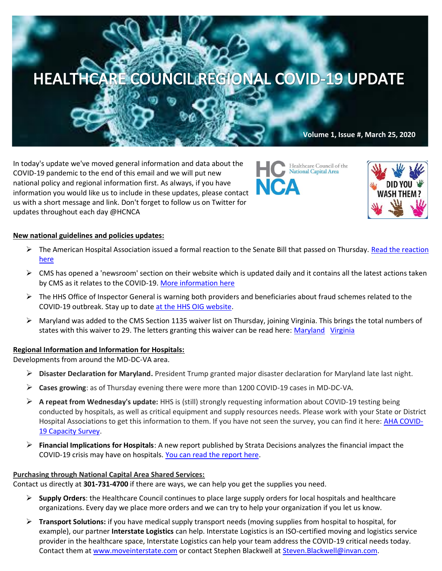# HEALTHCARE COUNCIL REGIONAL COVID-19 UPDATE

**Volume 1, Issue #, March 25, 2020**

In today's update we've moved general information and data about the COVID-19 pandemic to the end of this email and we will put new national policy and regional information first. As always, if you have information you would like us to include in these updates, please contact us with a short message and link. Don't forget to follow us on Twitter for updates throughout each day @HCNCA





#### **New national guidelines and policies updates:**

- ➢ The American Hospital Association issued a formal reaction to the Senate Bill that passed on Thursday. [Read the reaction](https://contentsharing.net/actions/email_web_version.cfm?ep=Bdhtp-zVuqFkgQiV6-lxty0f-nrLBJWzuTngPvD-5dUcB0sou1-L-wMR4GTOVOzzp8la2YIDUvfoaom6pAWDn820Gs0MN9furjR6iP4mKUjle7uf-DkTkKbT62j11nwX)  [here](https://contentsharing.net/actions/email_web_version.cfm?ep=Bdhtp-zVuqFkgQiV6-lxty0f-nrLBJWzuTngPvD-5dUcB0sou1-L-wMR4GTOVOzzp8la2YIDUvfoaom6pAWDn820Gs0MN9furjR6iP4mKUjle7uf-DkTkKbT62j11nwX)
- $\triangleright$  CMS has opened a 'newsroom' section on their website which is updated daily and it contains all the latest actions taken by CMS as it relates to the COVID-19. [More information here](https://www.cms.gov/newsroom)
- ➢ The HHS Office of Inspector General is warning both providers and beneficiaries about fraud schemes related to the COVID-19 outbreak. Stay up to date [at the HHS OIG website.](https://oig.hhs.gov/coronavirus/fraud-alert-covid19.asp?utm_source=web&utm_medium=web&utm_campaign=covid19-fraud-alert&utm_source=Main+Distribution+List&utm_campaign=2adffd5a7f-COVID-19&utm_medium=email&utm_term=0_4995634420-2adffd5a7f-100322673&mc_cid=2adffd5a7f&mc_eid=a56dbb443d)
- ➢ Maryland was added to the CMS Section 1135 waiver list on Thursday, joining Virginia. This brings the total numbers of states with this waiver to 29. The letters granting this waiver can be read here: [Maryland](https://www.medicaid.gov/state-resource-center/disaster-response-toolkit/federal-disaster-resources/?entry=54062) [Virginia](https://www.medicaid.gov/state-resource-center/disaster-response-toolkit/federal-disaster-resources/?entry=54035)

#### **Regional Information and Information for Hospitals:**

Developments from around the MD-DC-VA area.

- ➢ **Disaster Declaration for Maryland.** President Trump granted major disaster declaration for Maryland late last night.
- ➢ **Cases growing**: as of Thursday evening there were more than 1200 COVID-19 cases in MD-DC-VA.
- ➢ **A repeat from Wednesday's update:** HHS is (still) strongly requesting information about COVID-19 testing being conducted by hospitals, as well as critical equipment and supply resources needs. Please work with your State or District Hospital Associations to get this information to them. If you have not seen the survey, you can find it here: **AHA COVID-**[19 Capacity Survey.](https://mail-attachment.googleusercontent.com/attachment/u/0/?ui=2&ik=9aef729a78&attid=0.1&permmsgid=msg-f:1661952253905457782&th=171070c4ffb1d276&view=att&disp=inline&saddbat=ANGjdJ9wW4PL57OJV2JUP9by4YvMqzSOhqxjnR9JbXxf0kjbZmxj8sV23WQrmLx4Tkdo7XKrT7HT1PDArZOvvITx1sd5CROsuxRYyG5CKcXw-EIu_DOR1gIs5ag8wt9OzWbg71txWtSdLl_yj-KRGsagE3vcmH8aJNHKNuXGTNKfIXWI0-Rtzf_eGOPVLRdq8MeRrLjnkl5VZu7KQn5ry_5kZuhgqCIinMDkbTDI5XbkcMWMptRaDb3EwO60RRKZAz-l4GnVBbcvJB4aqOW6Wm0YDvfSHS7X1bOu5iEXyUczVnHSM4EYBj1-JJWIKFTNwfmJVo2E90A9aGCLTVB_fKlJjN2_cJq5CjTZ3DLXPge83ULQgWI0EQOWHczgcOh1ye1M_05IA_jXV2jhV3nxHKZX2X9n-mflhVLzHPWtnbASzqtViJjtnxI6OIu4vAVzxfBv_qbFzDM0LyLD8W3PscLP3PG8peDEXCE1JEHFvZ7qYhEZAvwvK3c8vuvQvvHl5oxW9W2v7HG4YlmAajG_M7U2864WpfmhLnhgB3ZyM5lbVZTOQlmXmnw-ddDTfV0HiiKkQyO12O1diyIC8bRUtDjsJhoYJtfdOzJiEkHrTWKIhdIrAUpChJk1QuHh8itAPvm8sv5d5MK3ZsC97jGEJ8Lb3ByTlliUdp5v56dUnWc_VcklHMV30wbYWiyH6D0)
- ➢ **Financial Implications for Hospitals**: A new report published by Strata Decisions analyzes the financial impact the COVID-19 crisis may have on hospitals. [You can read the report here.](https://www.stratadecision.com/blog/report-hospitals-face-massive-losses-on-covid-19-cases-even-with-proposed-increase-in-federal-reimbursement/)

### **Purchasing through National Capital Area Shared Services:**

Contact us directly at **301-731-4700** if there are ways, we can help you get the supplies you need.

- ➢ **Supply Orders**: the Healthcare Council continues to place large supply orders for local hospitals and healthcare organizations. Every day we place more orders and we can try to help your organization if you let us know.
- ➢ **Transport Solutions:** if you have medical supply transport needs (moving supplies from hospital to hospital, for example), our partner **Interstate Logistics** can help. Interstate Logistics is an ISO-certified moving and logistics service provider in the healthcare space, Interstate Logistics can help your team address the COVID-19 critical needs today. Contact them at [www.moveinterstate.com](http://www.moveinterstate.com/) or contact Stephen Blackwell at [Steven.Blackwell@invan.com.](mailto:Steven.Blackwell@invan.com)